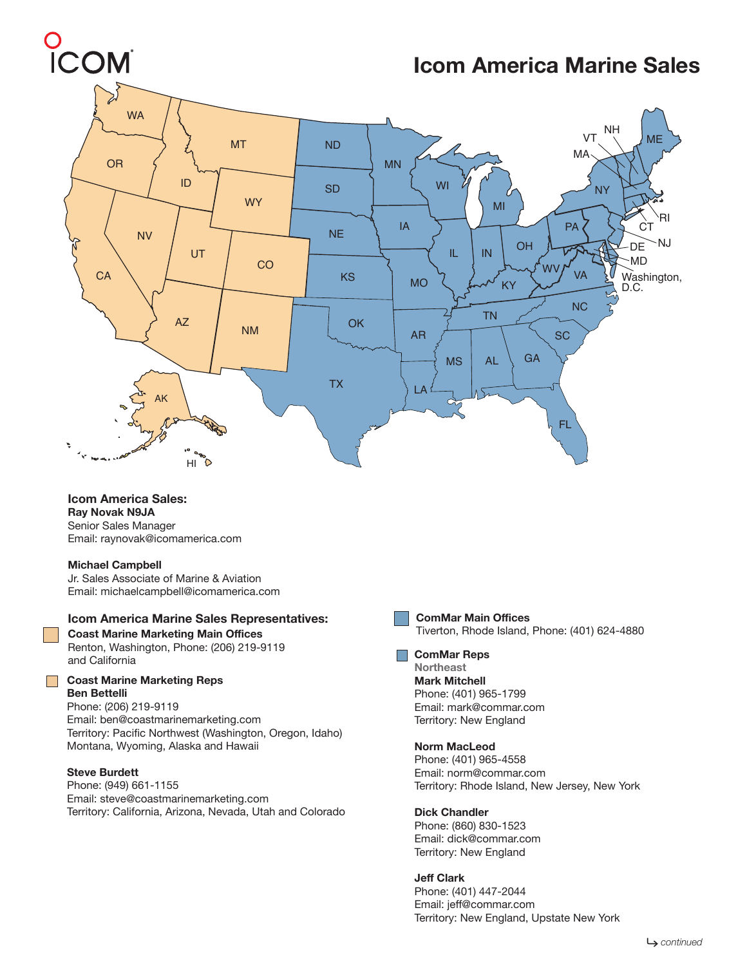# O<br>ICOM

# **Icom America Marine Sales**



**Icom America Sales: Ray Novak N9JA**  Senior Sales Manager Email: raynovak@icomamerica.com

#### **Michael Campbell**

Jr. Sales Associate of Marine & Aviation Email: michaelcampbell@icomamerica.com

#### **Icom America Marine Sales Representatives:**

Renton, Washington, Phone: (206) 219-9119 and California **ComMar Reps**

#### **Coast Marine Marketing Reps Ben Bettelli**

Phone: (206) 219-9119 Email: ben@coastmarinemarketing.com Territory: Pacific Northwest (Washington, Oregon, Idaho) Montana, Wyoming, Alaska and Hawaii

#### **Steve Burdett**

Phone: (949) 661-1155 Email: steve@coastmarinemarketing.com Territory: California, Arizona, Nevada, Utah and Colorado



## **ComMar Main Offices**

**Coast Marine Marketing Main Offices** Tiverton, Rhode Island, Phone: (401) 624-4880

**Northeast Mark Mitchell** Phone: (401) 965-1799 Email: mark@commar.com Territory: New England

#### **Norm MacLeod**

Phone: (401) 965-4558 Email: norm@commar.com Territory: Rhode Island, New Jersey, New York

#### **Dick Chandler**

Phone: (860) 830-1523 Email: dick@commar.com Territory: New England

#### **Jeff Clark**

Phone: (401) 447-2044 Email: jeff@commar.com Territory: New England, Upstate New York